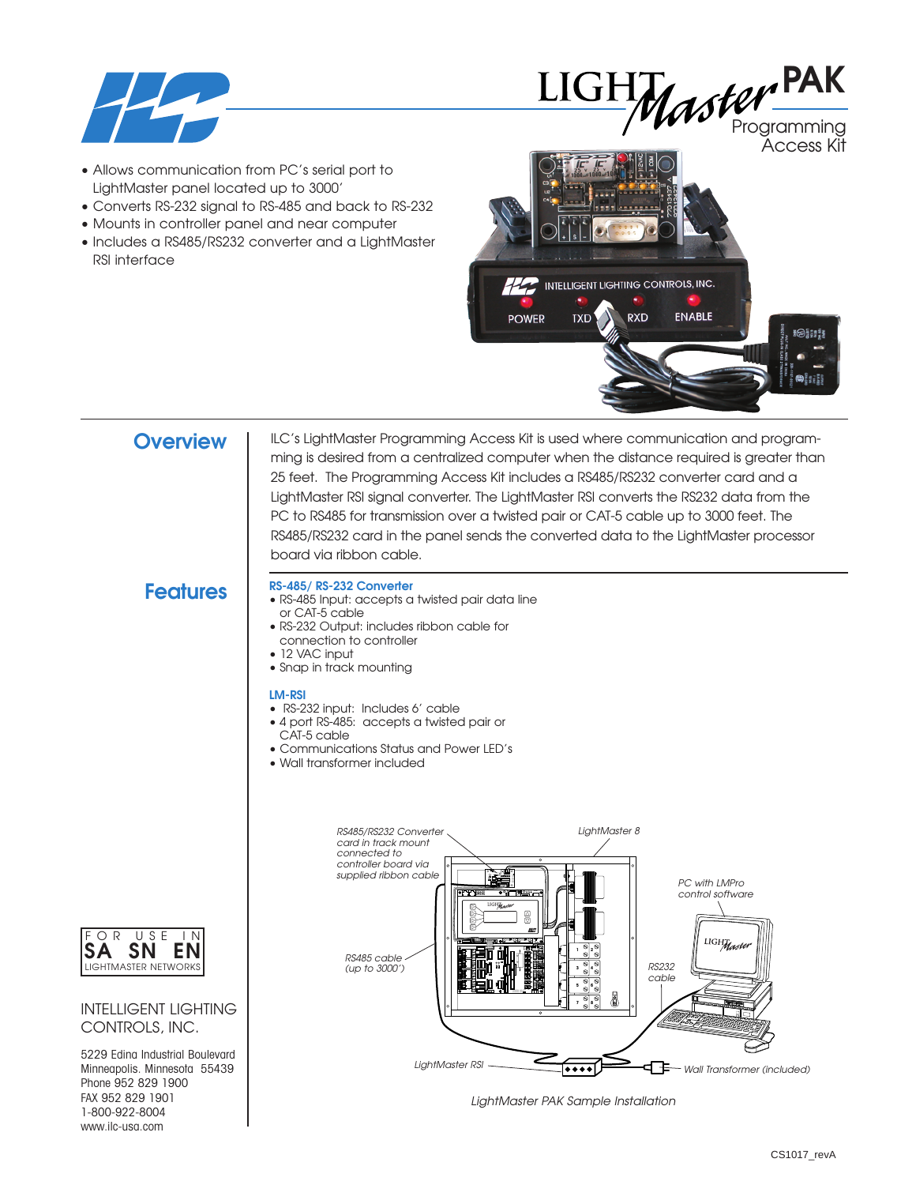



Programming Access Kit

- Allows communication from PC's serial port to LightMaster panel located up to 3000'
- Converts RS-232 signal to RS-485 and back to RS-232
- Mounts in controller panel and near computer
- Includes a RS485/RS232 converter and a LightMaster RSI interface



**Overview** | ILC's LightMaster Programming Access Kit is used where communication and programming is desired from a centralized computer when the distance required is greater than 25 feet. The Programming Access Kit includes a RS485/RS232 converter card and a LightMaster RSI signal converter. The LightMaster RSI converts the RS232 data from the PC to RS485 for transmission over a twisted pair or CAT-5 cable up to 3000 feet. The RS485/RS232 card in the panel sends the converted data to the LightMaster processor board via ribbon cable.

## **Features**

- **RS-485/ RS-232 Converter** • RS-485 Input: accepts a twisted pair data line
- or CAT-5 cable
- RS-232 Output: includes ribbon cable for connection to controller
- 12 VAC input
- Snap in track mounting

#### **LM-RSI**

- RS-232 input: Includes 6' cable
- 4 port RS-485: accepts a twisted pair or CAT-5 cable
- Communications Status and Power LED's
- Wall transformer included



*LightMaster PAK Sample Installation*



### INTELLIGENT LIGHTING CONTROLS, INC.

5229 Edina Industrial Boulevard Minneapolis. Minnesota 55439 Phone 952 829 1900 FAX 952 829 1901 1-800-922-8004 www.ilc-usa.com